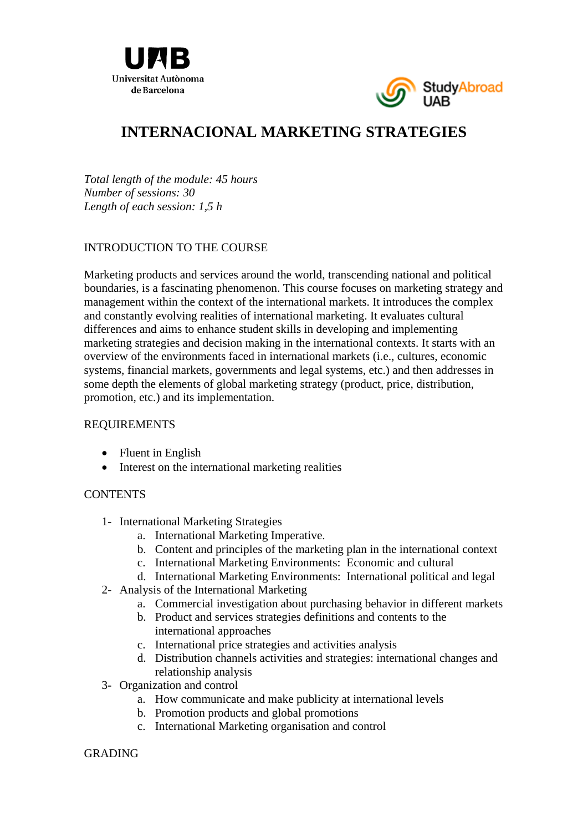



# **INTERNACIONAL MARKETING STRATEGIES**

*Total length of the module: 45 hours Number of sessions: 30 Length of each session: 1,5 h* 

## INTRODUCTION TO THE COURSE

Marketing products and services around the world, transcending national and political boundaries, is a fascinating phenomenon. This course focuses on marketing strategy and management within the context of the international markets. It introduces the complex and constantly evolving realities of international marketing. It evaluates cultural differences and aims to enhance student skills in developing and implementing marketing strategies and decision making in the international contexts. It starts with an overview of the environments faced in international markets (i.e., cultures, economic systems, financial markets, governments and legal systems, etc.) and then addresses in some depth the elements of global marketing strategy (product, price, distribution, promotion, etc.) and its implementation.

### REQUIREMENTS

- Fluent in English
- Interest on the international marketing realities

### **CONTENTS**

- 1- International Marketing Strategies
	- a. International Marketing Imperative.
	- b. Content and principles of the marketing plan in the international context
	- c. International Marketing Environments: Economic and cultural
	- d. International Marketing Environments: International political and legal
- 2- Analysis of the International Marketing
	- a. Commercial investigation about purchasing behavior in different markets
	- b. Product and services strategies definitions and contents to the international approaches
	- c. International price strategies and activities analysis
	- d. Distribution channels activities and strategies: international changes and relationship analysis
- 3- Organization and control
	- a. How communicate and make publicity at international levels
	- b. Promotion products and global promotions
	- c. International Marketing organisation and control

### GRADING